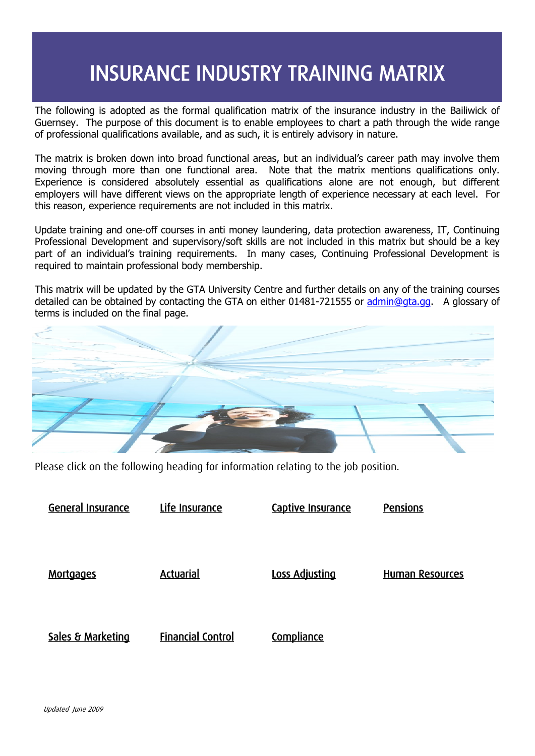# INSURANCE INDUSTRY TRAINING MATRIX

The following is adopted as the formal qualification matrix of the insurance industry in the Bailiwick of Guernsey. The purpose of this document is to enable employees to chart a path through the wide range of professional qualifications available, and as such, it is entirely advisory in nature.

The matrix is broken down into broad functional areas, but an individual's career path may involve them moving through more than one functional area. Note that the matrix mentions qualifications only. Experience is considered absolutely essential as qualifications alone are not enough, but different employers will have different views on the appropriate length of experience necessary at each level. For this reason, experience requirements are not included in this matrix.

Update training and one-off courses in anti money laundering, data protection awareness, IT, Continuing Professional Development and supervisory/soft skills are not included in this matrix but should be a key part of an individual's training requirements. In many cases, Continuing Professional Development is required to maintain professional body membership.

This matrix will be updated by the GTA University Centre and further details on any of the training courses detailed can be obtained by contacting the GTA on either 01481-721555 or [admin@gta.gg.](mailto:admin@gta.gg) A glossary of terms is included on the final page.

Please click on the following heading for information relating to the job position.

| General Insurance | Life Insurance           | Captive Insurance     | <b>Pensions</b>        |
|-------------------|--------------------------|-----------------------|------------------------|
|                   |                          |                       |                        |
|                   |                          |                       |                        |
|                   |                          |                       |                        |
|                   |                          |                       |                        |
| Mortgages         | Actuarial                | <b>Loss Adjusting</b> | <b>Human Resources</b> |
|                   |                          |                       |                        |
|                   |                          |                       |                        |
|                   |                          |                       |                        |
|                   |                          |                       |                        |
| Sales & Marketing | <b>Financial Control</b> | <b>Compliance</b>     |                        |
|                   |                          |                       |                        |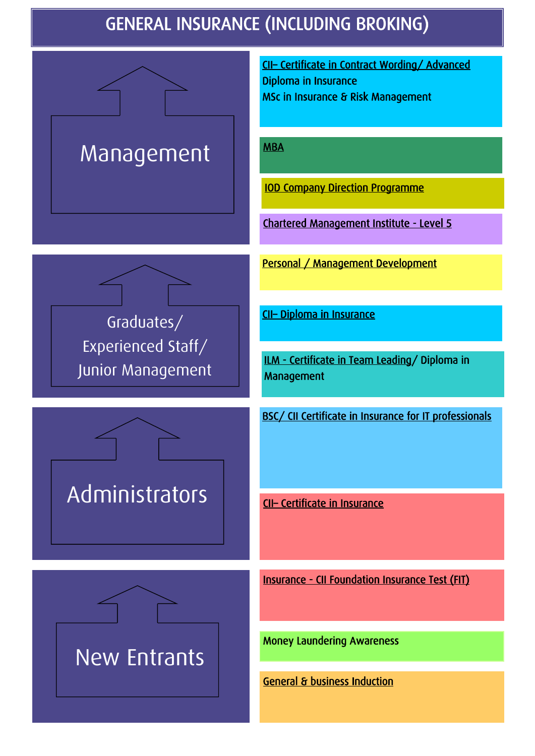# GENERAL INSURANCE (INCLUDING BROKING)

<span id="page-1-0"></span>

Administrators

CII– [Certificate in Contract Wording/ Advanced](http://www.cii.co.uk/cii.aspx)  Diploma in Insurance MSc in Insurance & Risk Management

[MBA](http://www.management.soton.ac.uk/StudyOpportunities/MBA/default.php) 

[IOD Company Direction Programme](http://www.iod.com/is-bin/INTERSHOP.enfinity/eCS/Store/en/-/GBP/IODContentManager-Start;sid=A2cxYIjG42S1GsExBfI79iAGkRdCxtuAeMo=?TemplateName=homePage%2eisml) 

[Chartered Management Institute - Level 5](http://www.managers.org.uk/) 

[Personal / Management Development](http://www.gta.gg/) 

CII– [Diploma in Insurance](http://www.cii.co.uk/cii.aspx) 

[ILM - Certificate in Team Leading/](http://www.i-l-m.com/) Diploma in Management

BSC/ CII Certificate in Insurance for IT professionals

CII– [Certificate in Insurance](http://www.cii.co.uk/cii.aspx) 

[Insurance - CII Foundation Insurance Test \(FIT\)](http://www.cii.co.uk/cii.aspx) 

New Entrants

Money Laundering Awareness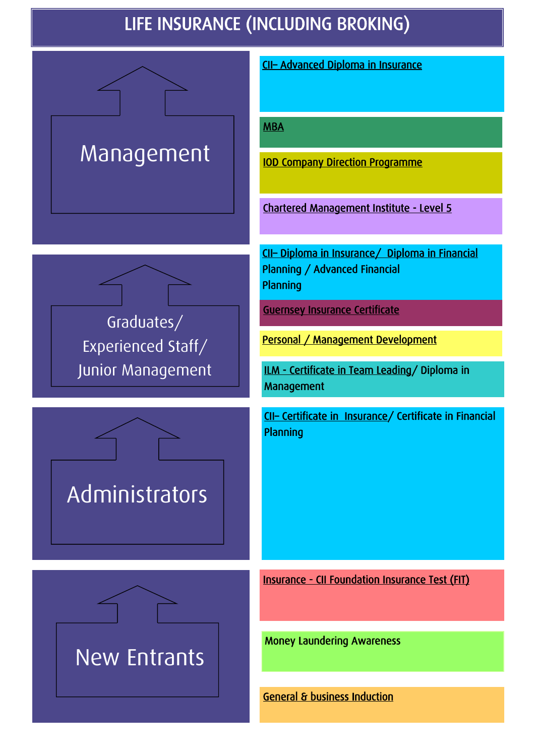# LIFE INSURANCE (INCLUDING BROKING)

<span id="page-2-0"></span>

New Entrants

Administrators

CII– [Advanced Diploma in Insurance](http://www.cii.co.uk/cii.aspx) 

**MBA** 

[IOD Company Direction Programme](http://www.iod.com/is-bin/INTERSHOP.enfinity/eCS/Store/en/-/GBP/IODContentManager-Start;sid=A2cxYIjG42S1GsExBfI79iAGkRdCxtuAeMo=?TemplateName=homePage%2eisml) 

[Chartered Management Institute - Level 5](http://www.managers.org.uk/) 

CII– [Diploma in Insurance/ Diploma in Financial](http://www.cii.co.uk/cii.aspx)  Planning / Advanced Financial Planning

[Guernsey Insurance Certificate](http://www.gta.gg/) 

[Personal / Management Development](http://www.gta.gg/) 

[ILM - Certificate in Team Leading/](http://www.i-l-m.com/) Diploma in Management

CII– [Certificate in Insurance/](http://www.cii.co.uk/cii.aspx) Certificate in Financial **Planning** 

[Insurance - CII Foundation Insurance Test \(FIT\)](http://www.cii.co.uk/cii.aspx) 

Money Laundering Awareness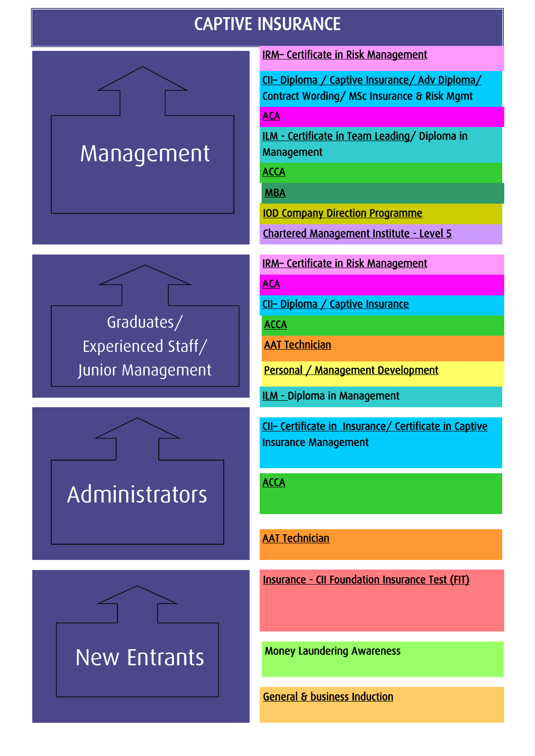### CAPTIVE INSURANCE

<span id="page-3-0"></span>

Graduates/ Experienced Staff/ Junior Management





IRM– [Certificate in Risk Management](http://www.theirm.org/) 

CII– [Diploma / Captive Insurance/ Adv Diploma/](http://www.cii.co.uk/cii.aspx)  Contract Wording/ MSc Insurance & Risk Mgmt

**ACA** 

[ILM - Certificate in Team Leading/](http://www.i-l-m.com/) Diploma in Management

**ACCA** 

[MBA](http://www.management.soton.ac.uk/StudyOpportunities/MBA/default.php) 

[IOD Company Direction Programme](http://www.iod.com/is-bin/INTERSHOP.enfinity/eCS/Store/en/-/GBP/IODContentManager-Start;sid=A2cxYIjG42S1GsExBfI79iAGkRdCxtuAeMo=?TemplateName=homePage%2eisml) 

[Chartered Management Institute - Level 5](http://www.managers.org.uk/) 

IRM– [Certificate in Risk Management](http://www.theirm.org/) 

**ACA** 

CII– [Diploma / Captive Insurance](http://www.cii.co.uk/cii.aspx) 

**ACCA** 

[AAT Technician](http://www.aat.org.uk/join/content/item2555/) 

[Personal / Management Development](http://www.gta.gg/) 

[ILM - D](http://www.i-l-m.com/)iploma in Management

CII– [Certificate in Insurance/ Certificate in Captive](http://www.cii.co.uk/cii.aspx)  Insurance Management

**ACCA** 

[AAT Technician](http://www.aat.org.uk/join/content/item2555/) 

[Insurance - CII Foundation Insurance Test \(FIT\)](http://www.cii.co.uk/cii.aspx) 

Money Laundering Awareness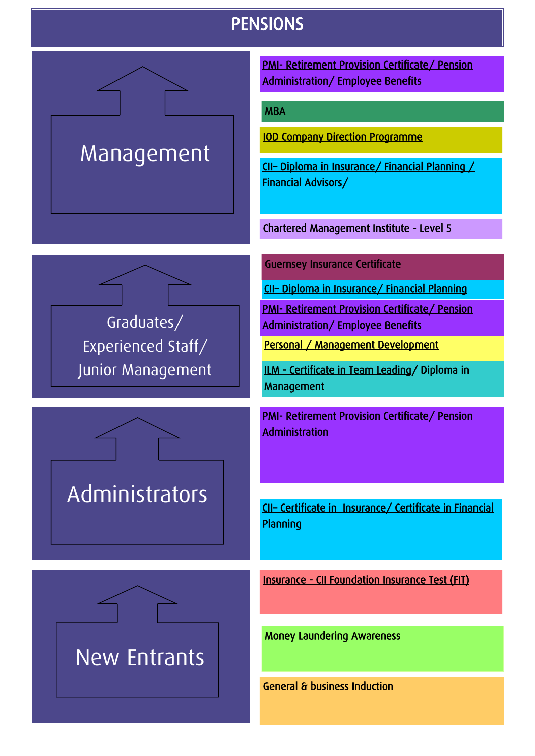#### **PENSIONS**

<span id="page-4-0"></span>

[PMI- Retirement Provision Certificate/ Pension](http://www.pensions-pmi.org.uk/)  Administration/ Employee Benefits

#### [MBA](http://www.management.soton.ac.uk/StudyOpportunities/MBA/default.php)

[IOD Company Direction Programme](http://www.iod.com/is-bin/INTERSHOP.enfinity/eCS/Store/en/-/GBP/IODContentManager-Start;sid=A2cxYIjG42S1GsExBfI79iAGkRdCxtuAeMo=?TemplateName=homePage%2eisml) 

CII– [Diploma in Insurance/ Financial Planning /](http://www.cii.co.uk/cii.aspx)  Financial Advisors/

[Chartered Management Institute - Level 5](http://www.managers.org.uk/) 

[Guernsey Insurance Certificate](http://www.gta.gg/) 

CII– [Diploma in Insurance/ Financial Planning](http://www.cii.co.uk/cii.aspx) 

[PMI- Retirement Provision Certificate/ Pension](http://www.pensions-pmi.org.uk/)  Administration/ Employee Benefits

[Personal / Management Development](http://www.gta.gg/) 

[ILM - Certificate in Team Leading/](http://www.i-l-m.com/) Diploma in Management

[PMI- Retirement Provision Certificate/ Pension](http://www.pensions-pmi.org.uk/)  Administration

CII– [Certificate in Insurance/ Certificate in Financial](http://www.cii.co.uk/cii.aspx)  Planning

[Insurance - CII Foundation Insurance Test \(FIT\)](http://www.cii.co.uk/cii.aspx) 

Money Laundering Awareness





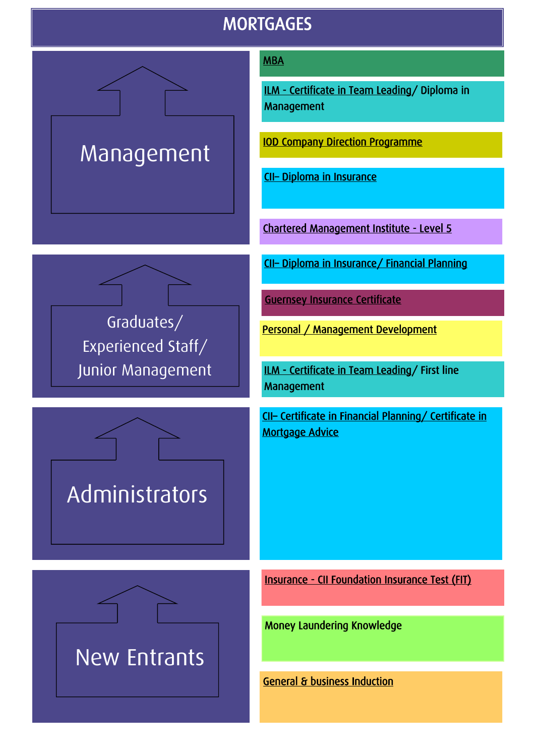#### **MORTGAGES**

<span id="page-5-0"></span>

Graduates/

Experienced Staff/

Junior Management

New Entrants

Administrators

#### [MBA](http://www.management.soton.ac.uk/StudyOpportunities/MBA/default.php)

[ILM - Certificate in Team Leading/](http://www.i-l-m.com/) Diploma in Management

[IOD Company Direction Programme](http://www.iod.com/is-bin/INTERSHOP.enfinity/eCS/Store/en/-/GBP/IODContentManager-Start;sid=A2cxYIjG42S1GsExBfI79iAGkRdCxtuAeMo=?TemplateName=homePage%2eisml) 

CII– [Diploma in Insurance](http://www.cii.co.uk/cii.aspx) 

[Chartered Management Institute - Level 5](http://www.managers.org.uk/) 

CII– [Diploma in Insurance/ Financial Planning](http://www.cii.co.uk/cii.aspx) 

[Guernsey Insurance Certificate](http://www.gta.gg/) 

Personal / Management Development

[ILM - Certificate in Team Leading/](http://www.i-l-m.com/) First line Management

CII– [Certificate in Financial Planning/ Certificate in](http://www.cii.co.uk/cii.aspx)  [Mortgage Advice](http://www.cii.co.uk/cii.aspx) 

[Insurance - CII Foundation Insurance Test \(FIT\)](http://www.cii.co.uk/cii.aspx) 

Money Laundering [Knowledge](http://uk.accaglobal.com/)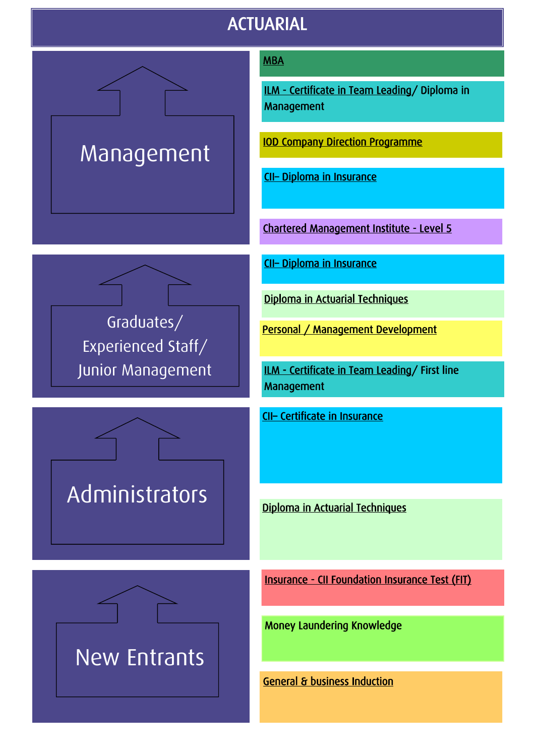### ACTUARIAL

<span id="page-6-0"></span>

#### [MBA](http://www.management.soton.ac.uk/StudyOpportunities/MBA/default.php)

[ILM - Certificate in Team Leading/](http://www.i-l-m.com/) Diploma in Management

[IOD Company Direction Programme](http://www.iod.com/is-bin/INTERSHOP.enfinity/eCS/Store/en/-/GBP/IODContentManager-Start;sid=A2cxYIjG42S1GsExBfI79iAGkRdCxtuAeMo=?TemplateName=homePage%2eisml) 

CII– [Diploma in Insurance](http://www.cii.co.uk/cii.aspx) 

[Chartered Management Institute - Level 5](http://www.managers.org.uk/) 

CII– [Diploma in Insurance](http://www.cii.co.uk/cii.aspx) 

[Diploma in Actuarial Techniques](http://www.actuaries.org.uk/careers/qualifications/student_membership) 

Personal / Management Development

[ILM - Certificate in Team Leading/](http://www.i-l-m.com/) First line Management

CII– [Certificate in Insurance](http://www.cii.co.uk/cii.aspx) 

[Diploma in Actuarial Techniques](http://www.actuaries.org.uk/careers/qualifications/student_membership) 

[Insurance - CII Foundation Insurance Test \(FIT\)](http://www.cii.co.uk/cii.aspx) 

Money Laundering [Knowledge](http://uk.accaglobal.com/) 



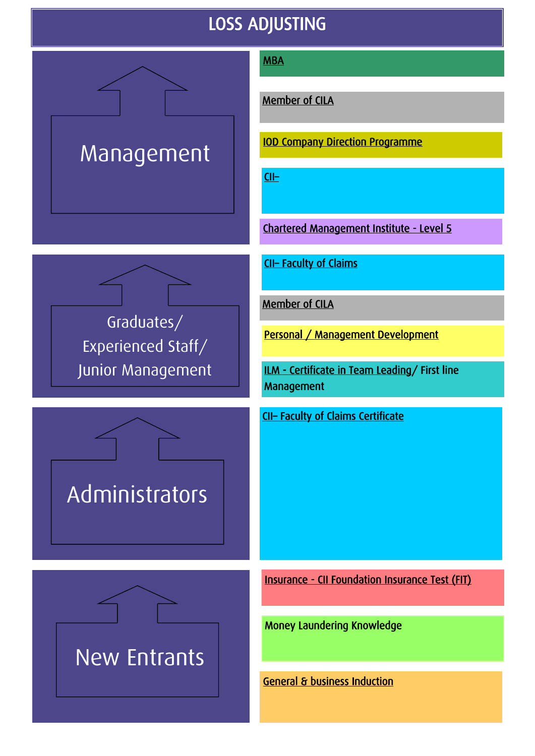### LOSS ADJUSTING

<span id="page-7-0"></span>

New Entrants

Administrators

Junior Management

#### **MBA**

[Member of CILA](http://www.cila.co.uk/) 

[IOD Company Direction Programme](http://www.iod.com/is-bin/INTERSHOP.enfinity/eCS/Store/en/-/GBP/IODContentManager-Start;sid=A2cxYIjG42S1GsExBfI79iAGkRdCxtuAeMo=?TemplateName=homePage%2eisml) 

[CII](http://www.cii.co.uk/cii.aspx)–

[Chartered Management Institute - Level 5](http://www.managers.org.uk/) 

CII– [Faculty of Claims](http://www.cii.co.uk/cii.aspx) 

[Member of CILA](http://www.cila.co.uk/) 

Personal / Management Development

[ILM - Certificate in Team Leading/](http://www.i-l-m.com/) First line Management

CII– [Faculty of Claims Certificate](http://www.cii.co.uk/cii.aspx) 

[Insurance - CII Foundation Insurance Test \(FIT\)](http://www.cii.co.uk/cii.aspx) 

Money Laundering [Knowledge](http://uk.accaglobal.com/)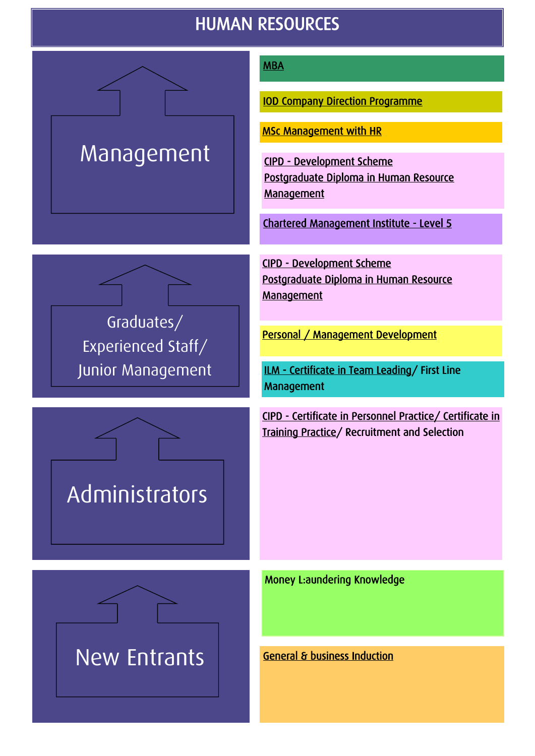### HUMAN RESOURCES

<span id="page-8-0"></span>

Graduates/

Experienced Staff/

Junior Management

#### [MBA](http://www.management.soton.ac.uk/StudyOpportunities/MBA/default.php)

[IOD Company Direction Programme](http://www.iod.com/is-bin/INTERSHOP.enfinity/eCS/Store/en/-/GBP/IODContentManager-Start;sid=A2cxYIjG42S1GsExBfI79iAGkRdCxtuAeMo=?TemplateName=homePage%2eisml) 

[MSc Management with HR](http://business.bournemouth.ac.uk/campaign/index.html) 

[CIPD - Development Scheme](http://www.cipd.co.uk/default.cipd)  [Postgraduate Diploma in Human Resource](http://www.cipd.co.uk/default.cipd)  **Management** 

[Chartered Management Institute - Level 5](http://www.managers.org.uk/) 

[CIPD - Development Scheme](http://www.cipd.co.uk/default.cipd)  [Postgraduate Diploma in Human Resource](http://www.cipd.co.uk/default.cipd)  **Management** 

Personal / Management Development

[ILM - Certificate in Team Leading/](http://www.i-l-m.com/) First Line Management

[CIPD - Certificate in Personnel Practice/ Certificate in](http://www.cipd.co.uk/default.cipd)  [Training Practice/](http://www.cipd.co.uk/default.cipd) Recruitment and Selection

Administrators

[Money L:aundering Knowledge](http://uk.accaglobal.com/) 

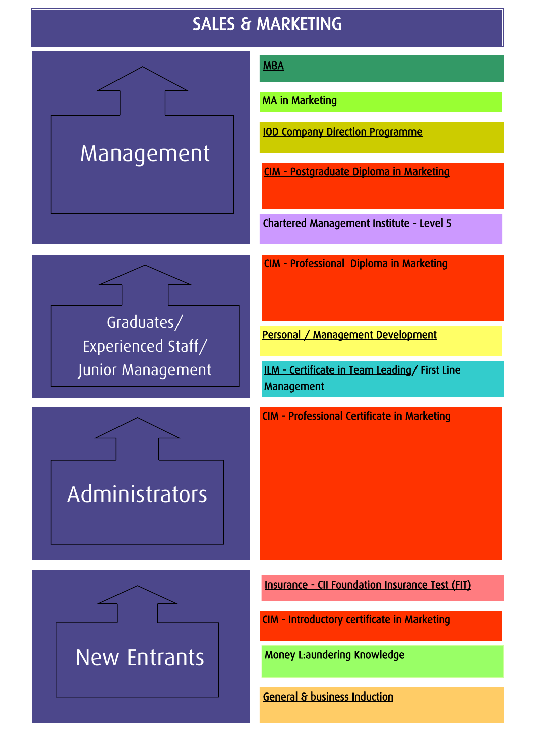### SALES & MARKETING

<span id="page-9-0"></span>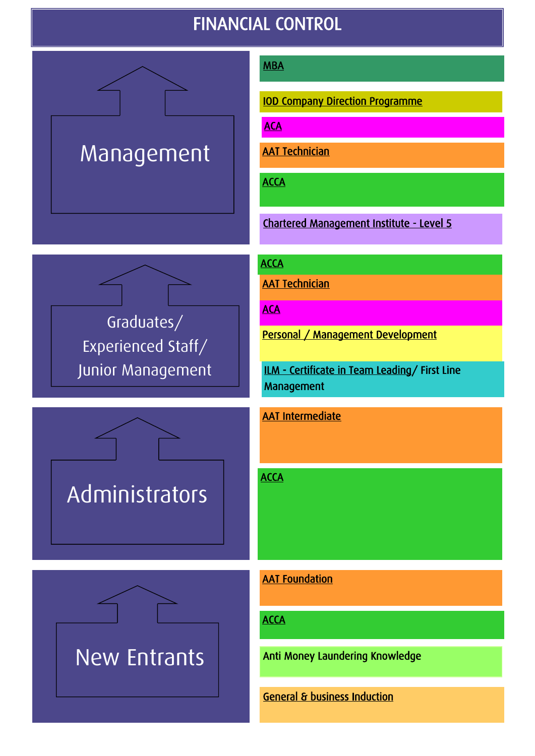### FINANCIAL CONTROL

<span id="page-10-0"></span>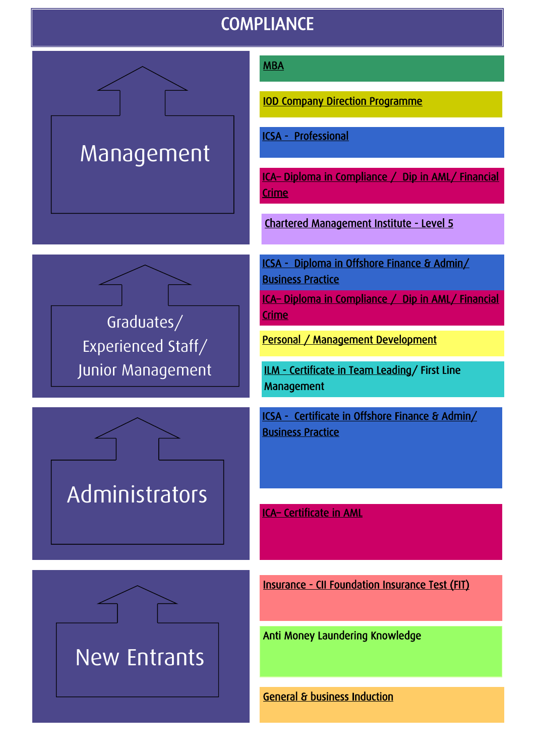### **COMPLIANCE**

<span id="page-11-0"></span>

New Entrants

**Administrators** 

Experienced Staff/

Junior Management

#### [MBA](http://www.management.soton.ac.uk/StudyOpportunities/MBA/default.php)

[IOD Company Direction Programme](http://www.iod.com/is-bin/INTERSHOP.enfinity/eCS/Store/en/-/GBP/IODContentManager-Start;sid=A2cxYIjG42S1GsExBfI79iAGkRdCxtuAeMo=?TemplateName=homePage%2eisml) 

[ICSA - Professional](http://www.icsa.org.uk/home?c=1) 

ICA– [Diploma in Compliance / Dip in AML/ Financial](http://www.int-comp.org/)  **Crime** 

[Chartered Management Institute - Level 5](http://www.managers.org.uk/) 

[ICSA - Diploma in Offshore Finance & Admin/](http://www.icsa.org.uk/home?c=1)  [Business Practice](http://www.icsa.org.uk/home?c=1) 

ICA– [Diploma in Compliance / Dip in AML/ Financial](http://www.int-comp.org/)  [Crime](http://www.int-comp.org/) 

[Personal / Management Development](http://www.gta.gg/) 

[ILM - Certificate in Team Leading/](http://www.i-l-m.com/) First Line Management

[ICSA - Certificate in Offshore Finance & Admin/](http://www.icsa.org.uk/home?c=1)  [Business Practice](http://www.icsa.org.uk/home?c=1) 

ICA– [Certificate in AML](http://www.int-comp.org/) 

[Insurance - CII Foundation Insurance Test \(FIT\)](http://www.cii.co.uk/cii.aspx) 

Anti Money Laundering [Knowledge](http://uk.accaglobal.com/)